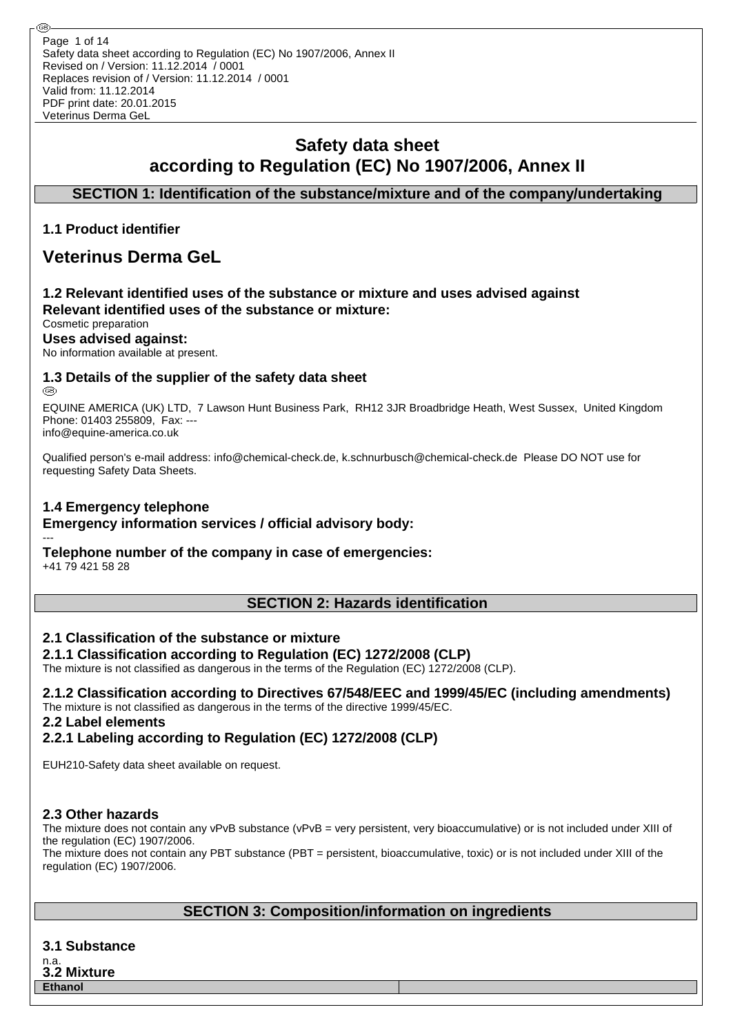Safety data sheet according to Regulation (EC) No 1907/2006, Annex II Revised on / Version: 11.12.2014 / 0001 Replaces revision of / Version: 11.12.2014 / 0001 Valid from: 11.12.2014 PDF print date: 20.01.2015 Veterinus Derma GeL Page 1 of 14

# **Safety data sheet according to Regulation (EC) No 1907/2006, Annex II**

## **SECTION 1: Identification of the substance/mixture and of the company/undertaking**

## **1.1 Product identifier**

## **Veterinus Derma GeL**

## **1.2 Relevant identified uses of the substance or mixture and uses advised against Relevant identified uses of the substance or mixture:**

## Cosmetic preparation

**Uses advised against:**

No information available at present.

## **1.3 Details of the supplier of the safety data sheet**

@

EQUINE AMERICA (UK) LTD, 7 Lawson Hunt Business Park, RH12 3JR Broadbridge Heath, West Sussex, United Kingdom Phone: 01403 255809, Fax: -- info@equine-america.co.uk

Qualified person's e-mail address: info@chemical-check.de, k.schnurbusch@chemical-check.de Please DO NOT use for requesting Safety Data Sheets.

#### **1.4 Emergency telephone**

#### **Emergency information services / official advisory body:**

#### --- **Telephone number of the company in case of emergencies:**

+41 79 421 58 28

## **SECTION 2: Hazards identification**

#### **2.1 Classification of the substance or mixture**

#### **2.1.1 Classification according to Regulation (EC) 1272/2008 (CLP)**

The mixture is not classified as dangerous in the terms of the Regulation (EC) 1272/2008 (CLP).

**2.1.2 Classification according to Directives 67/548/EEC and 1999/45/EC (including amendments)** The mixture is not classified as dangerous in the terms of the directive 1999/45/EC. **2.2 Label elements**

## **2.2.1 Labeling according to Regulation (EC) 1272/2008 (CLP)**

EUH210-Safety data sheet available on request.

## **2.3 Other hazards**

The mixture does not contain any vPvB substance (vPvB = very persistent, very bioaccumulative) or is not included under XIII of the regulation (EC) 1907/2006.

The mixture does not contain any PBT substance (PBT = persistent, bioaccumulative, toxic) or is not included under XIII of the regulation (EC) 1907/2006.

## **SECTION 3: Composition/information on ingredients**

**3.1 Substance**

n.a. **3.2 Mixture Ethanol**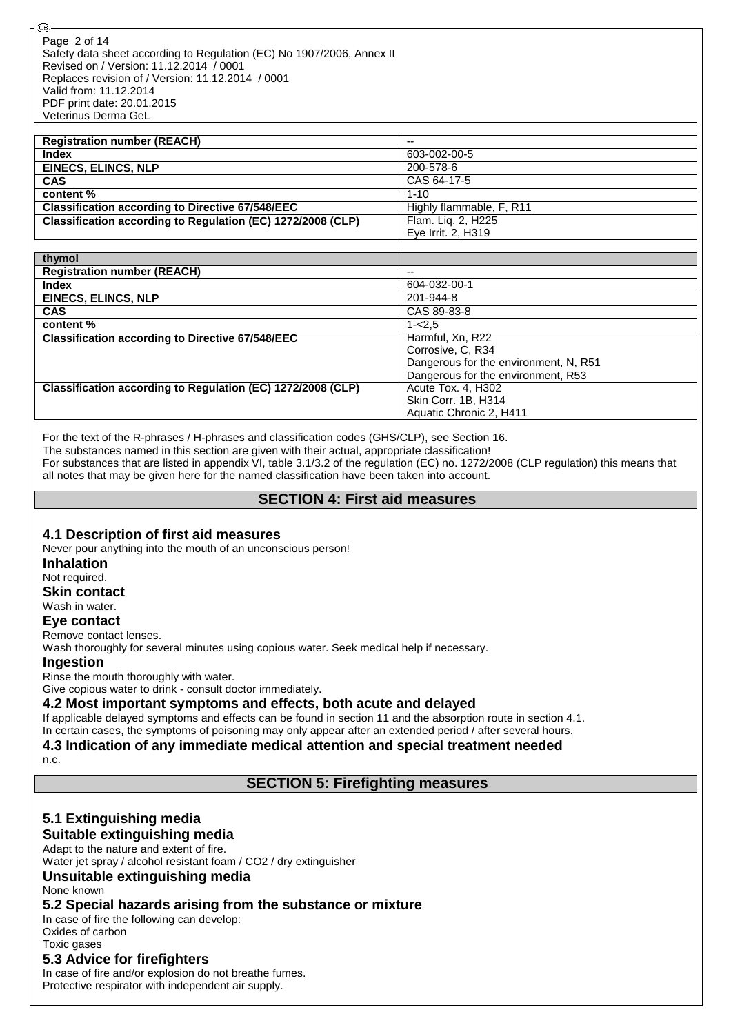Safety data sheet according to Regulation (EC) No 1907/2006, Annex II Revised on / Version: 11.12.2014 / 0001 Replaces revision of / Version: 11.12.2014 / 0001 Valid from: 11.12.2014 PDF print date: 20.01.2015 Veterinus Derma GeL Page 2 of 14

| <b>Registration number (REACH)</b>                          | $-$                      |
|-------------------------------------------------------------|--------------------------|
| <b>Index</b>                                                | 603-002-00-5             |
| <b>EINECS, ELINCS, NLP</b>                                  | 200-578-6                |
| <b>CAS</b>                                                  | CAS 64-17-5              |
| content %                                                   | $1 - 10$                 |
| <b>Classification according to Directive 67/548/EEC</b>     | Highly flammable, F, R11 |
| Classification according to Regulation (EC) 1272/2008 (CLP) | Flam. Liq. 2, H225       |
|                                                             | Eye Irrit. 2, H319       |

| thymol                                                      |                                       |
|-------------------------------------------------------------|---------------------------------------|
| <b>Registration number (REACH)</b>                          | --                                    |
| <b>Index</b>                                                | 604-032-00-1                          |
| <b>EINECS, ELINCS, NLP</b>                                  | 201-944-8                             |
| <b>CAS</b>                                                  | CAS 89-83-8                           |
| content %                                                   | $1 - 2.5$                             |
| <b>Classification according to Directive 67/548/EEC</b>     | Harmful, Xn, R22                      |
|                                                             | Corrosive, C, R34                     |
|                                                             | Dangerous for the environment, N, R51 |
|                                                             | Dangerous for the environment, R53    |
| Classification according to Regulation (EC) 1272/2008 (CLP) | Acute Tox. 4, H302                    |
|                                                             | Skin Corr. 1B, H314                   |
|                                                             | Aquatic Chronic 2, H411               |

For the text of the R-phrases / H-phrases and classification codes (GHS/CLP), see Section 16.

The substances named in this section are given with their actual, appropriate classification!

For substances that are listed in appendix VI, table 3.1/3.2 of the regulation (EC) no. 1272/2008 (CLP regulation) this means that all notes that may be given here for the named classification have been taken into account.

#### **SECTION 4: First aid measures**

#### **4.1 Description of first aid measures**

Never pour anything into the mouth of an unconscious person!

**Inhalation**

Not required.

**Skin contact**

Wash in water.

**Eye contact**

Remove contact lenses.

Wash thoroughly for several minutes using copious water. Seek medical help if necessary.

#### **Ingestion**

Rinse the mouth thoroughly with water.

Give copious water to drink - consult doctor immediately.

#### **4.2 Most important symptoms and effects, both acute and delayed**

If applicable delayed symptoms and effects can be found in section 11 and the absorption route in section 4.1.

In certain cases, the symptoms of poisoning may only appear after an extended period / after several hours. **4.3 Indication of any immediate medical attention and special treatment needed**

n.c.

## **SECTION 5: Firefighting measures**

## **5.1 Extinguishing media**

## **Suitable extinguishing media**

Adapt to the nature and extent of fire. Water jet spray / alcohol resistant foam / CO2 / dry extinguisher

**Unsuitable extinguishing media**

#### None known

#### **5.2 Special hazards arising from the substance or mixture**

In case of fire the following can develop: Oxides of carbon

Toxic gases

#### **5.3 Advice for firefighters**

In case of fire and/or explosion do not breathe fumes. Protective respirator with independent air supply.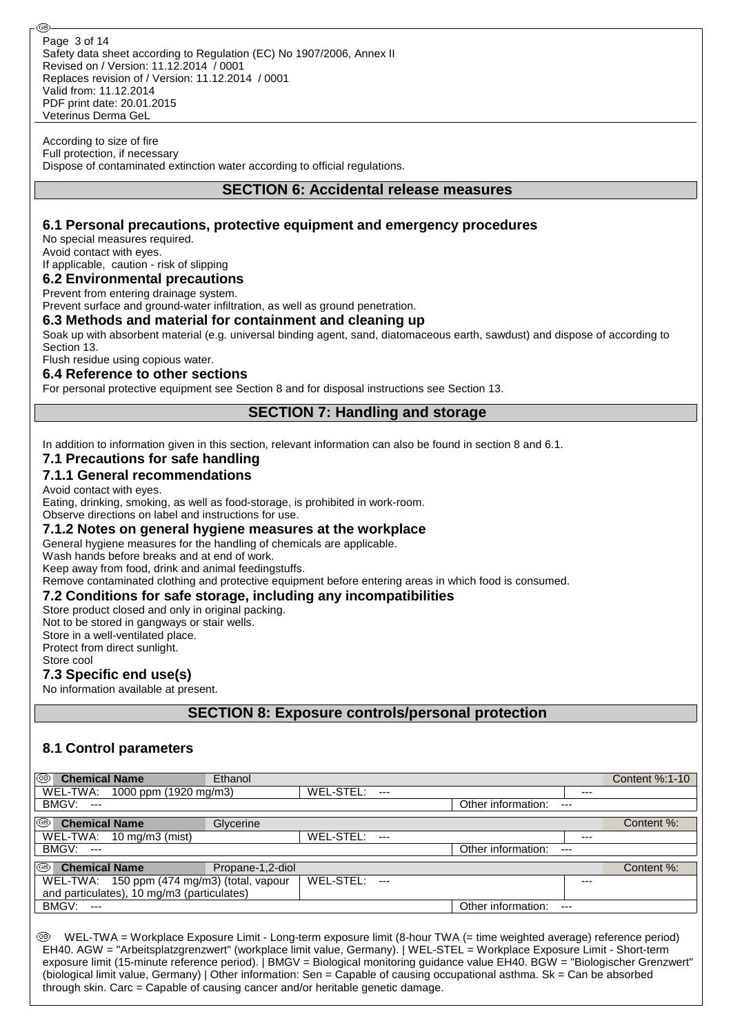According to size of fire Full protection, if necessary Dispose of contaminated extinction water according to official regulations.

#### **SECTION 6: Accidental release measures**

## **6.1 Personal precautions, protective equipment and emergency procedures**

No special measures required. Avoid contact with eyes. If applicable, caution - risk of slipping

**6.2 Environmental precautions**

#### Prevent from entering drainage system.

Prevent surface and ground-water infiltration, as well as ground penetration.

#### **6.3 Methods and material for containment and cleaning up**

Soak up with absorbent material (e.g. universal binding agent, sand, diatomaceous earth, sawdust) and dispose of according to Section 13.

Flush residue using copious water.

#### **6.4 Reference to other sections**

For personal protective equipment see Section 8 and for disposal instructions see Section 13.

## **SECTION 7: Handling and storage**

In addition to information given in this section, relevant information can also be found in section 8 and 6.1.

#### **7.1 Precautions for safe handling**

#### **7.1.1 General recommendations**

Avoid contact with eyes.

Eating, drinking, smoking, as well as food-storage, is prohibited in work-room.

Observe directions on label and instructions for use.

#### **7.1.2 Notes on general hygiene measures at the workplace**

General hygiene measures for the handling of chemicals are applicable.

Wash hands before breaks and at end of work.

Keep away from food, drink and animal feedingstuffs.

Remove contaminated clothing and protective equipment before entering areas in which food is consumed.

#### **7.2 Conditions for safe storage, including any incompatibilities**

Store product closed and only in original packing.

Not to be stored in gangways or stair wells.

Store in a well-ventilated place.

Protect from direct sunlight.

Store cool

#### **7.3 Specific end use(s)**

No information available at present.

**SECTION 8: Exposure controls/personal protection**

#### **8.1 Control parameters**

| ⊛<br><b>Chemical Name</b>                   | Ethanol          |           |                |                    |       | Content %:1-10 |
|---------------------------------------------|------------------|-----------|----------------|--------------------|-------|----------------|
| WEL-TWA: 1000 ppm (1920 mg/m3)              |                  | WEL-STEL: | $---$          |                    | $---$ |                |
| BMGV:<br>$-$                                |                  |           |                | Other information: | $---$ |                |
| ⊛<br><b>Chemical Name</b>                   | Glycerine        |           |                |                    |       | Content %:     |
| WEL-TWA: 10 mg/m3 (mist)                    |                  | WEL-STEL: | $---$          |                    | $---$ |                |
| <b>BMGV: ---</b>                            |                  |           |                | Other information: | $---$ |                |
| $^{\circledR}$<br><b>Chemical Name</b>      | Propane-1,2-diol |           |                |                    |       | Content %:     |
| WEL-TWA: 150 ppm (474 mg/m3) (total, vapour |                  | WEL-STEL: | $\overline{a}$ |                    | ---   |                |
| and particulates), 10 mg/m3 (particulates)  |                  |           |                |                    |       |                |
| BMGV:<br>$\sim$                             |                  |           |                | Other information: | $---$ |                |

 WEL-TWA = Workplace Exposure Limit - Long-term exposure limit (8-hour TWA (= time weighted average) reference period) EH40. AGW = "Arbeitsplatzgrenzwert" (workplace limit value, Germany). | WEL-STEL = Workplace Exposure Limit - Short-term exposure limit (15-minute reference period). | BMGV = Biological monitoring guidance value EH40. BGW = "Biologischer Grenzwert" (biological limit value, Germany) | Other information: Sen = Capable of causing occupational asthma. Sk = Can be absorbed through skin. Carc = Capable of causing cancer and/or heritable genetic damage.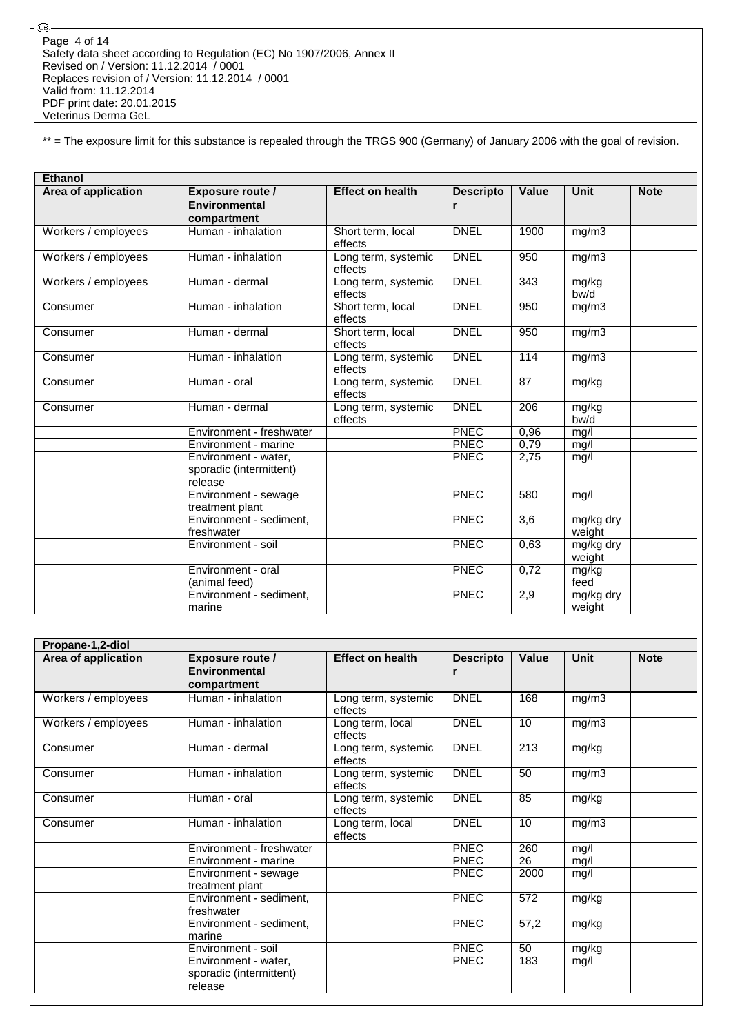⊛

\*\* = The exposure limit for this substance is repealed through the TRGS 900 (Germany) of January 2006 with the goal of revision.

| <b>Ethanol</b>      |                                                            |                                |                       |                  |                     |             |
|---------------------|------------------------------------------------------------|--------------------------------|-----------------------|------------------|---------------------|-------------|
| Area of application | <b>Exposure route /</b><br>Environmental<br>compartment    | <b>Effect on health</b>        | <b>Descripto</b><br>r | <b>Value</b>     | <b>Unit</b>         | <b>Note</b> |
| Workers / employees | Human - inhalation                                         | Short term, local<br>effects   | <b>DNEL</b>           | 1900             | mg/m3               |             |
| Workers / employees | Human - inhalation                                         | Long term, systemic<br>effects | <b>DNEL</b>           | 950              | mg/m3               |             |
| Workers / employees | Human - dermal                                             | Long term, systemic<br>effects | <b>DNEL</b>           | 343              | mg/kg<br>bw/d       |             |
| Consumer            | Human - inhalation                                         | Short term, local<br>effects   | <b>DNEL</b>           | 950              | mg/m3               |             |
| Consumer            | Human - dermal                                             | Short term, local<br>effects   | <b>DNEL</b>           | 950              | mg/m3               |             |
| Consumer            | Human - inhalation                                         | Long term, systemic<br>effects | <b>DNEL</b>           | 114              | mg/m3               |             |
| Consumer            | Human - oral                                               | Long term, systemic<br>effects | <b>DNEL</b>           | 87               | mg/kg               |             |
| Consumer            | Human - dermal                                             | Long term, systemic<br>effects | <b>DNEL</b>           | 206              | mg/kg<br>bw/d       |             |
|                     | Environment - freshwater                                   |                                | <b>PNEC</b>           | 0,96             | mg/l                |             |
|                     | Environment - marine                                       |                                | <b>PNEC</b>           | 0,79             | mg/l                |             |
|                     | Environment - water,<br>sporadic (intermittent)<br>release |                                | <b>PNEC</b>           | 2,75             | mg/l                |             |
|                     | Environment - sewage<br>treatment plant                    |                                | <b>PNEC</b>           | 580              | mg/l                |             |
|                     | Environment - sediment,<br>freshwater                      |                                | PNEC                  | $\overline{3,6}$ | mg/kg dry<br>weight |             |
|                     | Environment - soil                                         |                                | <b>PNEC</b>           | 0,63             | mg/kg dry<br>weight |             |
|                     | Environment - oral<br>(animal feed)                        |                                | <b>PNEC</b>           | 0,72             | mg/kg<br>feed       |             |
|                     | Environment - sediment,<br>marine                          |                                | <b>PNEC</b>           | 2,9              | mg/kg dry<br>weight |             |

| Propane-1,2-diol    |                                                                |                                |                       |       |       |             |
|---------------------|----------------------------------------------------------------|--------------------------------|-----------------------|-------|-------|-------------|
| Area of application | <b>Exposure route /</b><br><b>Environmental</b><br>compartment | <b>Effect on health</b>        | <b>Descripto</b><br>r | Value | Unit  | <b>Note</b> |
| Workers / employees | Human - inhalation                                             | Long term, systemic<br>effects | <b>DNEL</b>           | 168   | mg/m3 |             |
| Workers / employees | Human - inhalation                                             | Long term, local<br>effects    | <b>DNEL</b>           | 10    | mg/m3 |             |
| Consumer            | Human - dermal                                                 | Long term, systemic<br>effects | <b>DNEL</b>           | 213   | mg/kg |             |
| Consumer            | Human - inhalation                                             | Long term, systemic<br>effects | <b>DNEL</b>           | 50    | mg/m3 |             |
| Consumer            | Human - oral                                                   | Long term, systemic<br>effects | <b>DNEL</b>           | 85    | mg/kg |             |
| Consumer            | Human - inhalation                                             | Long term, local<br>effects    | <b>DNEL</b>           | 10    | mg/m3 |             |
|                     | Environment - freshwater                                       |                                | <b>PNEC</b>           | 260   | mg/l  |             |
|                     | Environment - marine                                           |                                | <b>PNEC</b>           | 26    | mg/l  |             |
|                     | Environment - sewage<br>treatment plant                        |                                | <b>PNEC</b>           | 2000  | mg/l  |             |
|                     | Environment - sediment,<br>freshwater                          |                                | <b>PNEC</b>           | 572   | mg/kg |             |
|                     | Environment - sediment,<br>marine                              |                                | <b>PNEC</b>           | 57,2  | mg/kg |             |
|                     | Environment - soil                                             |                                | <b>PNEC</b>           | 50    | mg/kg |             |
|                     | Environment - water,<br>sporadic (intermittent)<br>release     |                                | <b>PNEC</b>           | 183   | mg/l  |             |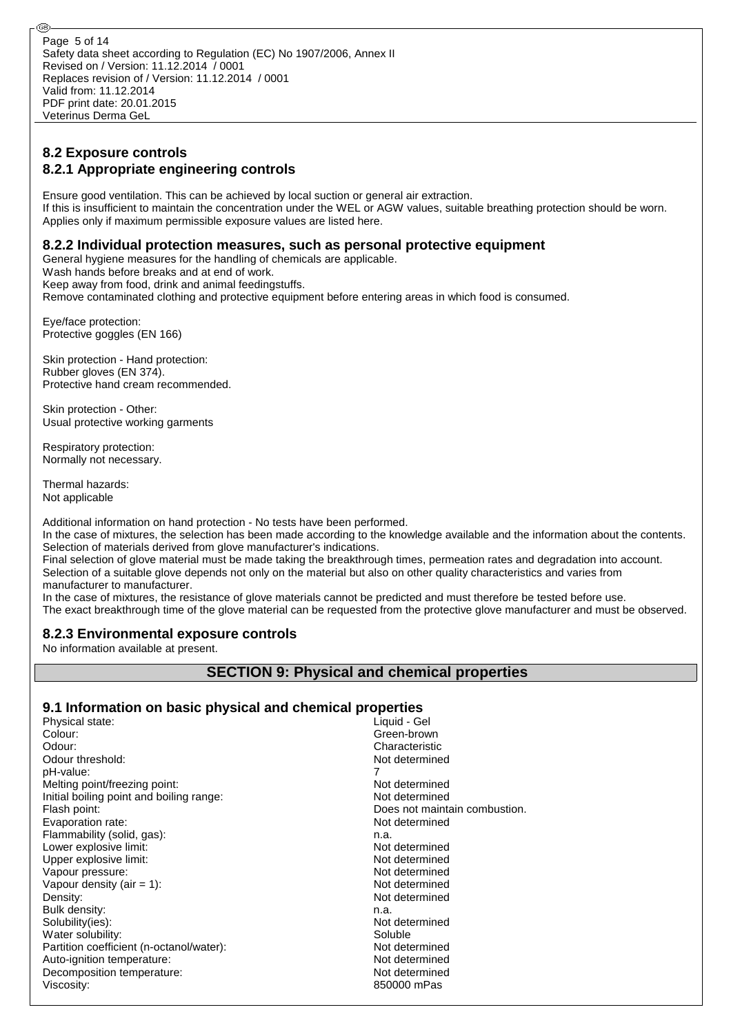Safety data sheet according to Regulation (EC) No 1907/2006, Annex II Revised on / Version: 11.12.2014 / 0001 Replaces revision of / Version: 11.12.2014 / 0001 Valid from: 11.12.2014 PDF print date: 20.01.2015 Veterinus Derma GeL Page 5 of 14

## **8.2 Exposure controls 8.2.1 Appropriate engineering controls**

Ensure good ventilation. This can be achieved by local suction or general air extraction. If this is insufficient to maintain the concentration under the WEL or AGW values, suitable breathing protection should be worn. Applies only if maximum permissible exposure values are listed here.

## **8.2.2 Individual protection measures, such as personal protective equipment**

General hygiene measures for the handling of chemicals are applicable.

Wash hands before breaks and at end of work.

Keep away from food, drink and animal feedingstuffs.

Remove contaminated clothing and protective equipment before entering areas in which food is consumed.

Eye/face protection: Protective goggles (EN 166)

Skin protection - Hand protection: Rubber gloves (EN 374). Protective hand cream recommended.

Skin protection - Other: Usual protective working garments

Respiratory protection: Normally not necessary.

Thermal hazards: Not applicable

Additional information on hand protection - No tests have been performed.

In the case of mixtures, the selection has been made according to the knowledge available and the information about the contents. Selection of materials derived from glove manufacturer's indications.

Final selection of glove material must be made taking the breakthrough times, permeation rates and degradation into account. Selection of a suitable glove depends not only on the material but also on other quality characteristics and varies from manufacturer to manufacturer.

In the case of mixtures, the resistance of glove materials cannot be predicted and must therefore be tested before use.

The exact breakthrough time of the glove material can be requested from the protective glove manufacturer and must be observed.

## **8.2.3 Environmental exposure controls**

No information available at present.

## **SECTION 9: Physical and chemical properties**

#### **9.1 Information on basic physical and chemical properties**

| Physical state:                          | Liquid - Gel                  |
|------------------------------------------|-------------------------------|
| Colour:                                  | Green-brown                   |
| Odour:                                   | Characteristic                |
| Odour threshold:                         | Not determined                |
| pH-value:                                |                               |
| Melting point/freezing point:            | Not determined                |
| Initial boiling point and boiling range: | Not determined                |
| Flash point:                             | Does not maintain combustion. |
| Evaporation rate:                        | Not determined                |
| Flammability (solid, gas):               | n.a.                          |
| Lower explosive limit:                   | Not determined                |
| Upper explosive limit:                   | Not determined                |
| Vapour pressure:                         | Not determined                |
| Vapour density (air $= 1$ ):             | Not determined                |
| Density:                                 | Not determined                |
| Bulk density:                            | n.a.                          |
| Solubility(ies):                         | Not determined                |
| Water solubility:                        | Soluble                       |
| Partition coefficient (n-octanol/water): | Not determined                |
| Auto-ignition temperature:               | Not determined                |
| Decomposition temperature:               | Not determined                |
| Viscosity:                               | 850000 mPas                   |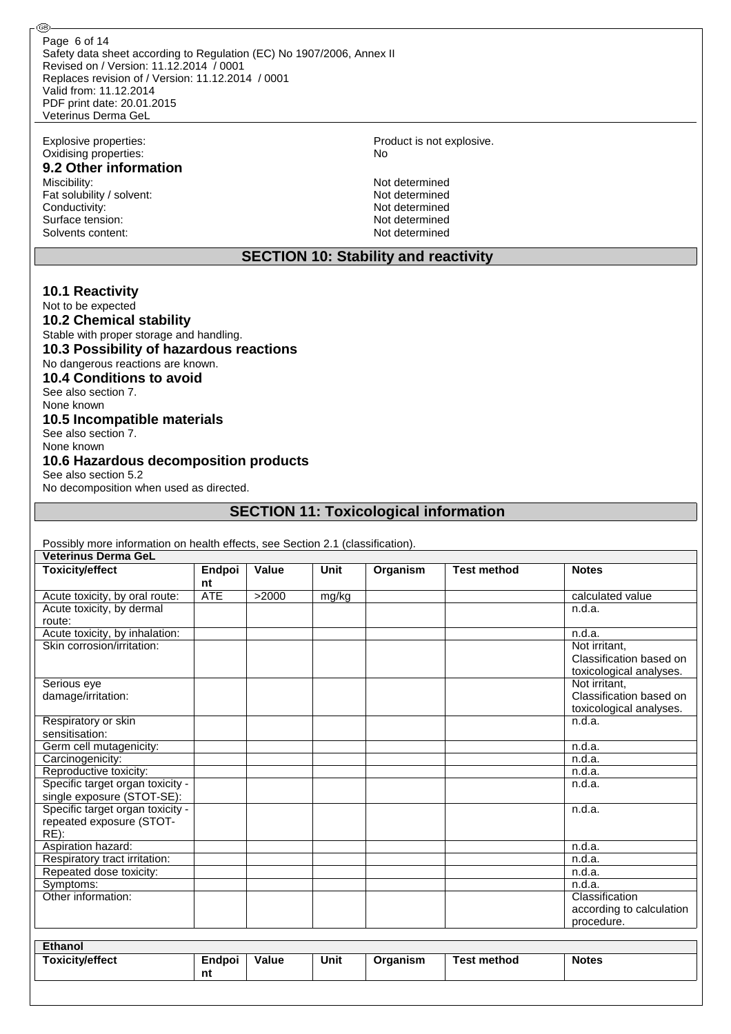Safety data sheet according to Regulation (EC) No 1907/2006, Annex II Revised on / Version: 11.12.2014 / 0001 Replaces revision of / Version: 11.12.2014 / 0001 Valid from: 11.12.2014 PDF print date: 20.01.2015 Veterinus Derma GeL Page 6 of 14

Oxidising properties: No

@ි

# **9.2 Other information**<br>Miscibility:

Fat solubility / solvent:<br>
Conductivity:<br>
Not determined Conductivity: Surface tension: Not determined<br>Solvents content: Not determined<br>Not determined Solvents content:

Explosive properties: Product is not explosive.

Not determined<br>Not determined

## **SECTION 10: Stability and reactivity**

#### **10.1 Reactivity**

Not to be expected

**10.2 Chemical stability** Stable with proper storage and handling. **10.3 Possibility of hazardous reactions** No dangerous reactions are known. **10.4 Conditions to avoid** See also section 7. None known

#### **10.5 Incompatible materials**

See also section 7. None known

#### **10.6 Hazardous decomposition products**

See also section 5.2 No decomposition when used as directed.

## **SECTION 11: Toxicological information**

| Possibly more information on health effects, see Section 2.1 (classification). |            |              |             |          |                    |                          |
|--------------------------------------------------------------------------------|------------|--------------|-------------|----------|--------------------|--------------------------|
| <b>Veterinus Derma GeL</b>                                                     |            |              |             |          |                    |                          |
| <b>Toxicity/effect</b>                                                         | Endpoi     | <b>Value</b> | Unit        | Organism | <b>Test method</b> | <b>Notes</b>             |
|                                                                                | nt         |              |             |          |                    |                          |
| Acute toxicity, by oral route:                                                 | <b>ATE</b> | >2000        | mg/kg       |          |                    | calculated value         |
| Acute toxicity, by dermal                                                      |            |              |             |          |                    | n.d.a.                   |
| route:                                                                         |            |              |             |          |                    |                          |
| Acute toxicity, by inhalation:                                                 |            |              |             |          |                    | n.d.a.                   |
| Skin corrosion/irritation:                                                     |            |              |             |          |                    | Not irritant.            |
|                                                                                |            |              |             |          |                    | Classification based on  |
|                                                                                |            |              |             |          |                    | toxicological analyses.  |
| Serious eye                                                                    |            |              |             |          |                    | Not irritant.            |
| damage/irritation:                                                             |            |              |             |          |                    | Classification based on  |
|                                                                                |            |              |             |          |                    | toxicological analyses.  |
| Respiratory or skin                                                            |            |              |             |          |                    | n.d.a.                   |
| sensitisation:                                                                 |            |              |             |          |                    |                          |
| Germ cell mutagenicity:                                                        |            |              |             |          |                    | n.d.a.                   |
| Carcinogenicity:                                                               |            |              |             |          |                    | n.d.a.                   |
| Reproductive toxicity:                                                         |            |              |             |          |                    | n.d.a.                   |
| Specific target organ toxicity -                                               |            |              |             |          |                    | n.d.a.                   |
| single exposure (STOT-SE):                                                     |            |              |             |          |                    |                          |
| Specific target organ toxicity -                                               |            |              |             |          |                    | n.d.a.                   |
| repeated exposure (STOT-                                                       |            |              |             |          |                    |                          |
| $RE)$ :                                                                        |            |              |             |          |                    |                          |
| Aspiration hazard:                                                             |            |              |             |          |                    | n.d.a.                   |
| Respiratory tract irritation:                                                  |            |              |             |          |                    | n.d.a.                   |
| Repeated dose toxicity:                                                        |            |              |             |          |                    | n.d.a.                   |
| Symptoms:                                                                      |            |              |             |          |                    | n.d.a.                   |
| Other information:                                                             |            |              |             |          |                    | Classification           |
|                                                                                |            |              |             |          |                    | according to calculation |
|                                                                                |            |              |             |          |                    | procedure.               |
|                                                                                |            |              |             |          |                    |                          |
| Ethanol                                                                        |            |              |             |          |                    |                          |
| <b>Toxicity/effect</b>                                                         | Endpoi     | <b>Value</b> | <b>Unit</b> | Organism | <b>Test method</b> | <b>Notes</b>             |
|                                                                                | nt         |              |             |          |                    |                          |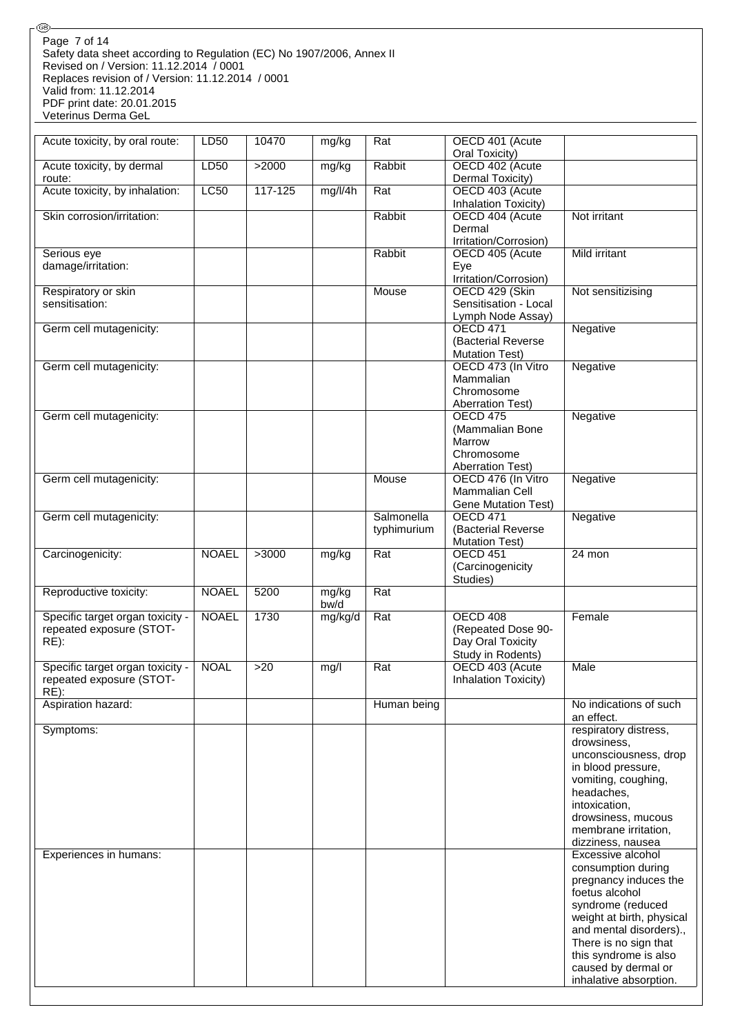Safety data sheet according to Regulation (EC) No 1907/2006, Annex II Revised on / Version: 11.12.2014 / 0001 Replaces revision of / Version: 11.12.2014 / 0001 Valid from: 11.12.2014 PDF print date: 20.01.2015 Veterinus Derma GeL Page 7 of 14

®

| Acute toxicity, by oral route:        | LD50         | 10470   | mg/kg        | Rat         | OECD 401 (Acute                               |                                                      |
|---------------------------------------|--------------|---------|--------------|-------------|-----------------------------------------------|------------------------------------------------------|
| Acute toxicity, by dermal             | LD50         | >2000   | mg/kg        | Rabbit      | Oral Toxicity)<br>OECD 402 (Acute             |                                                      |
| route:                                |              |         |              |             | Dermal Toxicity)                              |                                                      |
| Acute toxicity, by inhalation:        | LC50         | 117-125 | mg/l/4h      | Rat         | OECD 403 (Acute                               |                                                      |
|                                       |              |         |              |             | Inhalation Toxicity)                          |                                                      |
| Skin corrosion/irritation:            |              |         |              | Rabbit      | OECD 404 (Acute<br>Dermal                     | Not irritant                                         |
|                                       |              |         |              |             | Irritation/Corrosion)                         |                                                      |
| Serious eye                           |              |         |              | Rabbit      | OECD 405 (Acute                               | Mild irritant                                        |
| damage/irritation:                    |              |         |              |             | Eye                                           |                                                      |
|                                       |              |         |              |             | Irritation/Corrosion)                         |                                                      |
| Respiratory or skin<br>sensitisation: |              |         |              | Mouse       | OECD 429 (Skin<br>Sensitisation - Local       | Not sensitizising                                    |
|                                       |              |         |              |             | Lymph Node Assay)                             |                                                      |
| Germ cell mutagenicity:               |              |         |              |             | OECD 471                                      | Negative                                             |
|                                       |              |         |              |             | (Bacterial Reverse                            |                                                      |
| Germ cell mutagenicity:               |              |         |              |             | <b>Mutation Test)</b><br>OECD 473 (In Vitro   | Negative                                             |
|                                       |              |         |              |             | Mammalian                                     |                                                      |
|                                       |              |         |              |             | Chromosome                                    |                                                      |
|                                       |              |         |              |             | <b>Aberration Test)</b>                       |                                                      |
| Germ cell mutagenicity:               |              |         |              |             | <b>OECD 475</b>                               | Negative                                             |
|                                       |              |         |              |             | (Mammalian Bone<br>Marrow                     |                                                      |
|                                       |              |         |              |             | Chromosome                                    |                                                      |
|                                       |              |         |              |             | <b>Aberration Test)</b>                       |                                                      |
| Germ cell mutagenicity:               |              |         |              | Mouse       | OECD 476 (In Vitro                            | Negative                                             |
|                                       |              |         |              |             | Mammalian Cell                                |                                                      |
| Germ cell mutagenicity:               |              |         |              | Salmonella  | <b>Gene Mutation Test)</b><br><b>OECD 471</b> | Negative                                             |
|                                       |              |         |              | typhimurium | (Bacterial Reverse                            |                                                      |
|                                       |              |         |              |             | <b>Mutation Test)</b>                         |                                                      |
| Carcinogenicity:                      | <b>NOAEL</b> | >3000   | mg/kg        | Rat         | OECD 451                                      | 24 mon                                               |
|                                       |              |         |              |             | (Carcinogenicity<br>Studies)                  |                                                      |
| Reproductive toxicity:                | <b>NOAEL</b> | 5200    | mg/kg        | Rat         |                                               |                                                      |
|                                       |              |         | $b\bar{w}/d$ |             |                                               |                                                      |
| Specific target organ toxicity -      | <b>NOAEL</b> | 1730    | mg/kg/d      | Rat         | <b>OECD 408</b>                               | Female                                               |
| repeated exposure (STOT-<br>$RE)$ :   |              |         |              |             | (Repeated Dose 90-<br>Day Oral Toxicity       |                                                      |
|                                       |              |         |              |             | Study in Rodents)                             |                                                      |
| Specific target organ toxicity -      | <b>NOAL</b>  | >20     | mg/l         | Rat         | OECD 403 (Acute                               | <b>Male</b>                                          |
| repeated exposure (STOT-              |              |         |              |             | Inhalation Toxicity)                          |                                                      |
| $RE)$ :<br>Aspiration hazard:         |              |         |              | Human being |                                               | No indications of such                               |
|                                       |              |         |              |             |                                               | an effect.                                           |
| Symptoms:                             |              |         |              |             |                                               | respiratory distress,                                |
|                                       |              |         |              |             |                                               | drowsiness,                                          |
|                                       |              |         |              |             |                                               | unconsciousness, drop                                |
|                                       |              |         |              |             |                                               | in blood pressure,<br>vomiting, coughing,            |
|                                       |              |         |              |             |                                               | headaches,                                           |
|                                       |              |         |              |             |                                               | intoxication,                                        |
|                                       |              |         |              |             |                                               | drowsiness, mucous                                   |
|                                       |              |         |              |             |                                               | membrane irritation,                                 |
|                                       |              |         |              |             |                                               | dizziness, nausea<br>Excessive alcohol               |
| Experiences in humans:                |              |         |              |             |                                               | consumption during                                   |
|                                       |              |         |              |             |                                               | pregnancy induces the                                |
|                                       |              |         |              |             |                                               | foetus alcohol                                       |
|                                       |              |         |              |             |                                               | syndrome (reduced                                    |
|                                       |              |         |              |             |                                               | weight at birth, physical<br>and mental disorders)., |
|                                       |              |         |              |             |                                               | There is no sign that                                |
|                                       |              |         |              |             |                                               | this syndrome is also                                |
|                                       |              |         |              |             |                                               | caused by dermal or                                  |
|                                       |              |         |              |             |                                               | inhalative absorption.                               |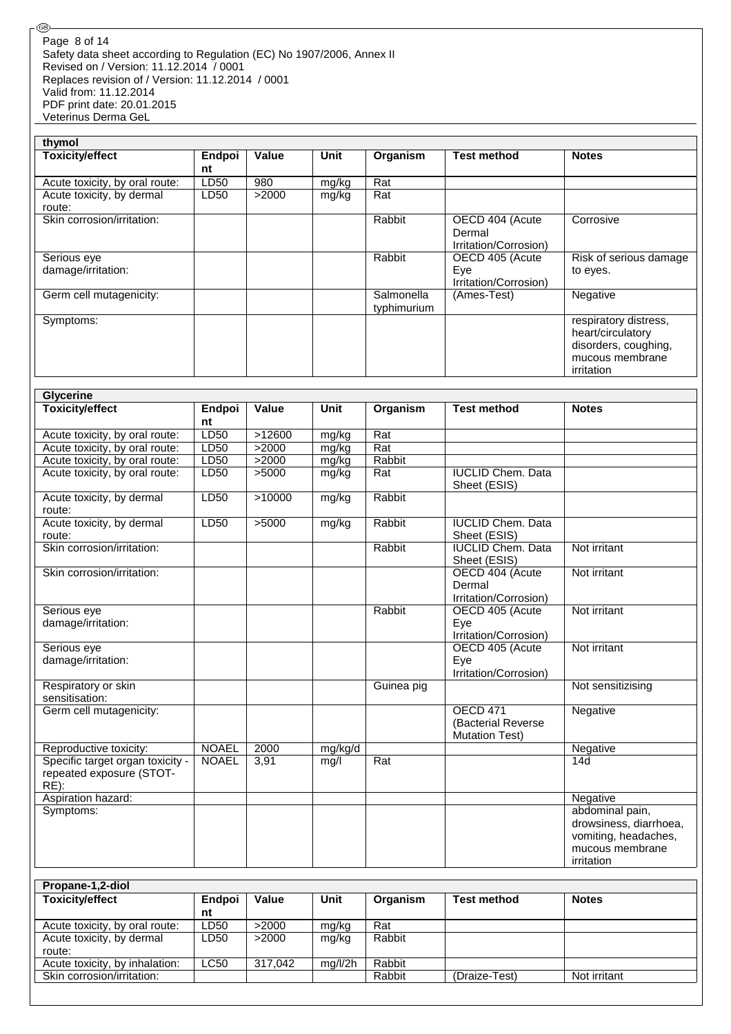Safety data sheet according to Regulation (EC) No 1907/2006, Annex II Revised on / Version: 11.12.2014 / 0001 Replaces revision of / Version: 11.12.2014 / 0001 Valid from: 11.12.2014 PDF print date: 20.01.2015 Veterinus Derma GeL Page 8 of 14

®

| thymol                              |              |              |             |                           |                                                    |                                                                                                     |
|-------------------------------------|--------------|--------------|-------------|---------------------------|----------------------------------------------------|-----------------------------------------------------------------------------------------------------|
| <b>Toxicity/effect</b>              | Endpoi<br>nt | <b>Value</b> | <b>Unit</b> | Organism                  | <b>Test method</b>                                 | <b>Notes</b>                                                                                        |
| Acute toxicity, by oral route:      | LD50         | 980          | mg/kg       | Rat                       |                                                    |                                                                                                     |
| Acute toxicity, by dermal<br>route: | LD50         | >2000        | mg/kg       | Rat                       |                                                    |                                                                                                     |
| Skin corrosion/irritation:          |              |              |             | Rabbit                    | OECD 404 (Acute<br>Dermal<br>Irritation/Corrosion) | Corrosive                                                                                           |
| Serious eye<br>damage/irritation:   |              |              |             | Rabbit                    | OECD 405 (Acute<br>Eye<br>Irritation/Corrosion)    | Risk of serious damage<br>to eyes.                                                                  |
| Germ cell mutagenicity:             |              |              |             | Salmonella<br>typhimurium | (Ames-Test)                                        | Negative                                                                                            |
| Symptoms:                           |              |              |             |                           |                                                    | respiratory distress,<br>heart/circulatory<br>disorders, coughing,<br>mucous membrane<br>irritation |

| <b>Glycerine</b>                                                        |              |              |         |            |                                                                 |                                                                                                    |
|-------------------------------------------------------------------------|--------------|--------------|---------|------------|-----------------------------------------------------------------|----------------------------------------------------------------------------------------------------|
| <b>Toxicity/effect</b>                                                  | Endpoi<br>nt | <b>Value</b> | Unit    | Organism   | <b>Test method</b>                                              | <b>Notes</b>                                                                                       |
| Acute toxicity, by oral route:                                          | LD50         | >12600       | mg/kg   | Rat        |                                                                 |                                                                                                    |
| Acute toxicity, by oral route:                                          | <b>LD50</b>  | >2000        | mg/kg   | Rat        |                                                                 |                                                                                                    |
| Acute toxicity, by oral route:                                          | LD50         | >2000        | mg/kg   | Rabbit     |                                                                 |                                                                                                    |
| Acute toxicity, by oral route:                                          | LD50         | >5000        | mg/kg   | Rat        | <b>IUCLID Chem. Data</b><br>Sheet (ESIS)                        |                                                                                                    |
| Acute toxicity, by dermal<br>route:                                     | <b>LD50</b>  | >10000       | mg/kg   | Rabbit     |                                                                 |                                                                                                    |
| Acute toxicity, by dermal<br>route:                                     | LD50         | >5000        | mg/kg   | Rabbit     | <b>IUCLID Chem. Data</b><br>Sheet (ESIS)                        |                                                                                                    |
| Skin corrosion/irritation:                                              |              |              |         | Rabbit     | <b>IUCLID Chem. Data</b><br>Sheet (ESIS)                        | Not irritant                                                                                       |
| Skin corrosion/irritation:                                              |              |              |         |            | OECD 404 (Acute<br>Dermal<br>Irritation/Corrosion)              | Not irritant                                                                                       |
| Serious eye<br>damage/irritation:                                       |              |              |         | Rabbit     | OECD 405 (Acute<br>Eve<br>Irritation/Corrosion)                 | Not irritant                                                                                       |
| Serious eye<br>damage/irritation:                                       |              |              |         |            | OECD 405 (Acute<br>Eye<br>Irritation/Corrosion)                 | Not irritant                                                                                       |
| Respiratory or skin<br>sensitisation:                                   |              |              |         | Guinea pig |                                                                 | Not sensitizising                                                                                  |
| Germ cell mutagenicity:                                                 |              |              |         |            | <b>OECD 471</b><br>(Bacterial Reverse)<br><b>Mutation Test)</b> | Negative                                                                                           |
| Reproductive toxicity:                                                  | <b>NOAEL</b> | 2000         | mg/kg/d |            |                                                                 | Negative                                                                                           |
| Specific target organ toxicity -<br>repeated exposure (STOT-<br>$RE)$ : | <b>NOAEL</b> | 3,91         | mq/l    | Rat        |                                                                 | 14d                                                                                                |
| Aspiration hazard:                                                      |              |              |         |            |                                                                 | Negative                                                                                           |
| Symptoms:                                                               |              |              |         |            |                                                                 | abdominal pain,<br>drowsiness, diarrhoea,<br>vomiting, headaches,<br>mucous membrane<br>irritation |

| Propane-1,2-diol               |             |         |         |          |               |              |
|--------------------------------|-------------|---------|---------|----------|---------------|--------------|
| <b>Toxicity/effect</b>         | Endpoi      | Value   | Unit    | Organism | Test method   | <b>Notes</b> |
|                                | nt          |         |         |          |               |              |
| Acute toxicity, by oral route: | LD50        | >2000   | mg/kg   | Rat      |               |              |
| Acute toxicity, by dermal      | LD50        | >2000   | mg/kg   | Rabbit   |               |              |
| route:                         |             |         |         |          |               |              |
| Acute toxicity, by inhalation: | <b>LC50</b> | 317.042 | mq/l/2h | Rabbit   |               |              |
| Skin corrosion/irritation:     |             |         |         | Rabbit   | (Draize-Test) | Not irritant |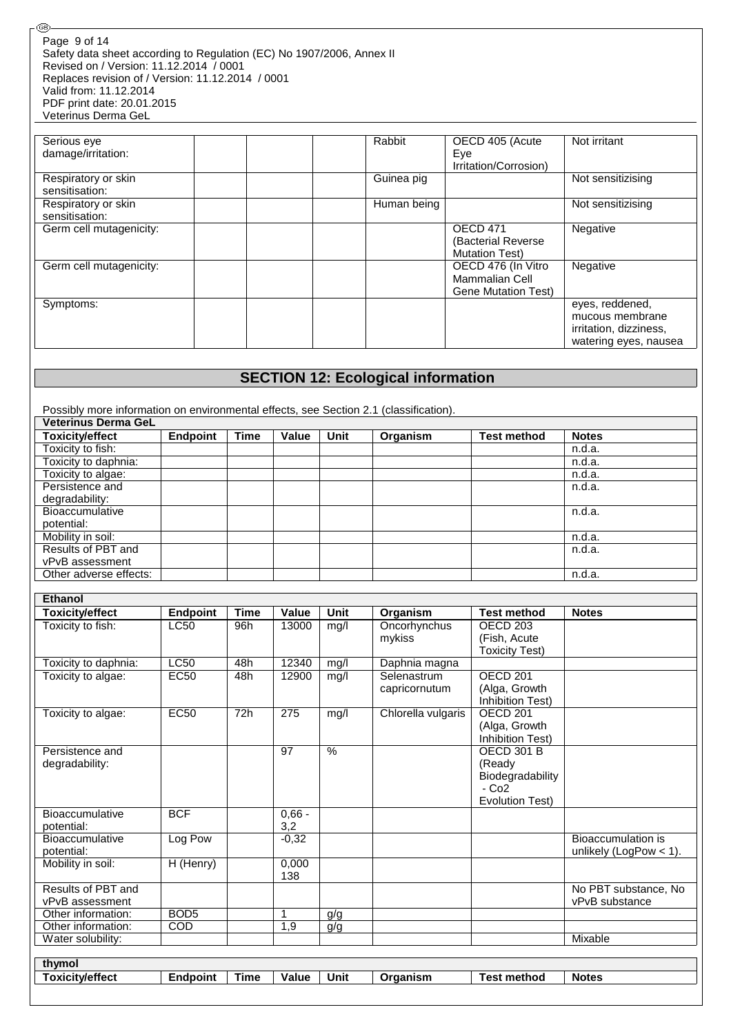Safety data sheet according to Regulation (EC) No 1907/2006, Annex II Revised on / Version: 11.12.2014 / 0001 Replaces revision of / Version: 11.12.2014 / 0001 Valid from: 11.12.2014 PDF print date: 20.01.2015 Veterinus Derma GeL Page 9 of 14

⊛

| Serious eye             | Rabbit      | OECD 405 (Acute            | Not irritant           |
|-------------------------|-------------|----------------------------|------------------------|
| damage/irritation:      |             | Eye                        |                        |
|                         |             | Irritation/Corrosion)      |                        |
| Respiratory or skin     | Guinea pig  |                            | Not sensitizising      |
| sensitisation:          |             |                            |                        |
| Respiratory or skin     | Human being |                            | Not sensitizising      |
| sensitisation:          |             |                            |                        |
| Germ cell mutagenicity: |             | <b>OECD 471</b>            | Negative               |
|                         |             | (Bacterial Reverse         |                        |
|                         |             | <b>Mutation Test)</b>      |                        |
| Germ cell mutagenicity: |             | OECD 476 (In Vitro         | Negative               |
|                         |             | Mammalian Cell             |                        |
|                         |             | <b>Gene Mutation Test)</b> |                        |
| Symptoms:               |             |                            | eyes, reddened,        |
|                         |             |                            | mucous membrane        |
|                         |             |                            | irritation, dizziness, |
|                         |             |                            | watering eyes, nausea  |

## **SECTION 12: Ecological information**

Possibly more information on environmental effects, see Section 2.1 (classification).

| <b>Veterinus Derma GeL</b> |                 |             |       |      |          |                    |              |
|----------------------------|-----------------|-------------|-------|------|----------|--------------------|--------------|
| <b>Toxicity/effect</b>     | <b>Endpoint</b> | <b>Time</b> | Value | Unit | Organism | <b>Test method</b> | <b>Notes</b> |
| Toxicity to fish:          |                 |             |       |      |          |                    | n.d.a.       |
| Toxicity to daphnia:       |                 |             |       |      |          |                    | n.d.a.       |
| Toxicity to algae:         |                 |             |       |      |          |                    | n.d.a.       |
| Persistence and            |                 |             |       |      |          |                    | n.d.a.       |
| degradability:             |                 |             |       |      |          |                    |              |
| <b>Bioaccumulative</b>     |                 |             |       |      |          |                    | n.d.a.       |
| potential:                 |                 |             |       |      |          |                    |              |
| Mobility in soil:          |                 |             |       |      |          |                    | n.d.a.       |
| Results of PBT and         |                 |             |       |      |          |                    | n.d.a.       |
| vPvB assessment            |                 |             |       |      |          |                    |              |
| Other adverse effects:     |                 |             |       |      |          |                    | n.d.a.       |

| Ethanol                |                  |             |              |             |                    |                       |                          |
|------------------------|------------------|-------------|--------------|-------------|--------------------|-----------------------|--------------------------|
| <b>Toxicity/effect</b> | <b>Endpoint</b>  | <b>Time</b> | <b>Value</b> | <b>Unit</b> | Organism           | <b>Test method</b>    | <b>Notes</b>             |
| Toxicity to fish:      | <b>LC50</b>      | 96h         | 13000        | mg/l        | Oncorhynchus       | OECD <sub>203</sub>   |                          |
|                        |                  |             |              |             | mykiss             | (Fish, Acute          |                          |
|                        |                  |             |              |             |                    | <b>Toxicity Test)</b> |                          |
| Toxicity to daphnia:   | LC50             | 48h         | 12340        | mg/l        | Daphnia magna      |                       |                          |
| Toxicity to algae:     | <b>EC50</b>      | 48h         | 12900        | mg/l        | Selenastrum        | OECD <sub>201</sub>   |                          |
|                        |                  |             |              |             | capricornutum      | (Alga, Growth         |                          |
|                        |                  |             |              |             |                    | Inhibition Test)      |                          |
| Toxicity to algae:     | <b>EC50</b>      | 72h         | 275          | mg/l        | Chlorella vulgaris | OECD <sub>201</sub>   |                          |
|                        |                  |             |              |             |                    | (Alga, Growth         |                          |
|                        |                  |             |              |             |                    | Inhibition Test)      |                          |
| Persistence and        |                  |             | 97           | $\%$        |                    | <b>OECD 301 B</b>     |                          |
| degradability:         |                  |             |              |             |                    | (Ready                |                          |
|                        |                  |             |              |             |                    | Biodegradability      |                          |
|                        |                  |             |              |             |                    | $-C02$                |                          |
|                        |                  |             |              |             |                    | Evolution Test)       |                          |
| <b>Bioaccumulative</b> | <b>BCF</b>       |             | $0,66 -$     |             |                    |                       |                          |
| potential:             |                  |             | 3,2          |             |                    |                       |                          |
| <b>Bioaccumulative</b> | Log Pow          |             | $-0,32$      |             |                    |                       | Bioaccumulation is       |
| potential:             |                  |             |              |             |                    |                       | unlikely (LogPow $<$ 1). |
| Mobility in soil:      | H (Henry)        |             | 0.000        |             |                    |                       |                          |
|                        |                  |             | 138          |             |                    |                       |                          |
| Results of PBT and     |                  |             |              |             |                    |                       | No PBT substance, No     |
| vPvB assessment        |                  |             |              |             |                    |                       | vPvB substance           |
| Other information:     | BOD <sub>5</sub> |             | $\mathbf{1}$ | g/g         |                    |                       |                          |
| Other information:     | COD              |             | 1,9          | g/g         |                    |                       |                          |
| Water solubility:      |                  |             |              |             |                    |                       | Mixable                  |
|                        |                  |             |              |             |                    |                       |                          |
| thymol                 |                  |             |              |             |                    |                       |                          |
| <b>Toxicity/effect</b> | <b>Endpoint</b>  | <b>Time</b> | <b>Value</b> | <b>Unit</b> | Organism           | <b>Test method</b>    | <b>Notes</b>             |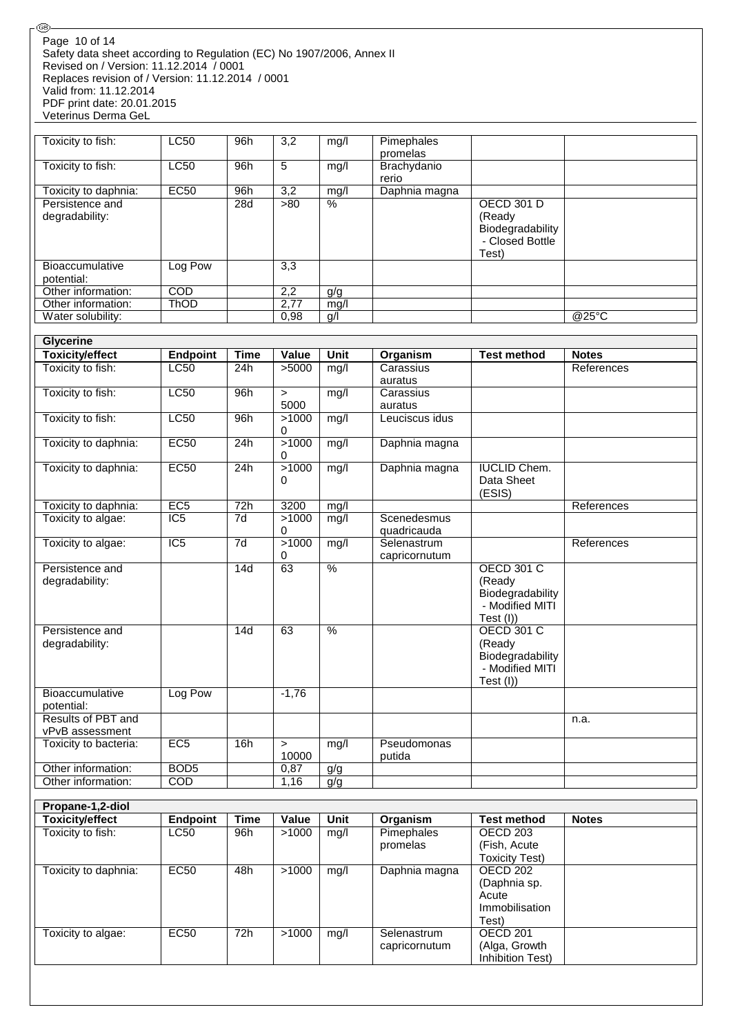#### Safety data sheet according to Regulation (EC) No 1907/2006, Annex II Revised on / Version: 11.12.2014 / 0001 Replaces revision of / Version: 11.12.2014 / 0001 Valid from: 11.12.2014 PDF print date: 20.01.2015 Veterinus Derma GeL Page 10 of 14

®

| Toxicity to fish:                    | <b>LC50</b> | 96h | 3,2  | mg/l | Pimephales<br>promelas |                                                                             |       |
|--------------------------------------|-------------|-----|------|------|------------------------|-----------------------------------------------------------------------------|-------|
| Toxicity to fish:                    | LC50        | 96h | 5    | mg/l | Brachydanio<br>rerio   |                                                                             |       |
| Toxicity to daphnia:                 | <b>EC50</b> | 96h | 3,2  | mg/l | Daphnia magna          |                                                                             |       |
| Persistence and<br>degradability:    |             | 28d | >80  | %    |                        | <b>OECD 301 D</b><br>(Ready<br>Biodegradability<br>- Closed Bottle<br>Test) |       |
| <b>Bioaccumulative</b><br>potential: | Log Pow     |     | 3,3  |      |                        |                                                                             |       |
| Other information:                   | <b>COD</b>  |     | 2,2  | g/g  |                        |                                                                             |       |
| Other information:                   | <b>ThOD</b> |     | 2.77 | mg/l |                        |                                                                             |       |
| Water solubility:                    |             |     | 0,98 | g/l  |                        |                                                                             | @25°C |

| <b>Glycerine</b>                     |                  |                 |                   |               |                              |                                                                                    |              |
|--------------------------------------|------------------|-----------------|-------------------|---------------|------------------------------|------------------------------------------------------------------------------------|--------------|
| <b>Toxicity/effect</b>               | <b>Endpoint</b>  | <b>Time</b>     | Value             | Unit          | Organism                     | <b>Test method</b>                                                                 | <b>Notes</b> |
| Toxicity to fish:                    | <b>LC50</b>      | 24h             | >5000             | mg/l          | Carassius                    |                                                                                    | References   |
|                                      |                  |                 |                   |               | auratus                      |                                                                                    |              |
| Toxicity to fish:                    | LC50             | 96h             | $\geq$            | mg/l          | Carassius                    |                                                                                    |              |
|                                      |                  |                 | 5000              |               | auratus                      |                                                                                    |              |
| Toxicity to fish:                    | <b>LC50</b>      | 96h             | >1000<br>$\Omega$ | mg/l          | Leuciscus idus               |                                                                                    |              |
| Toxicity to daphnia:                 | EC50             | 24h             | >1000<br>$\Omega$ | mg/l          | Daphnia magna                |                                                                                    |              |
| Toxicity to daphnia:                 | EC50             | 24h             | >1000<br>0        | mg/l          | Daphnia magna                | <b>IUCLID Chem.</b><br>Data Sheet<br>(ESIS)                                        |              |
| Toxicity to daphnia:                 | EC5              | 72h             | 3200              | mg/l          |                              |                                                                                    | References   |
| Toxicity to algae:                   | IC <sub>5</sub>  | $\overline{7d}$ | >1000<br>0        | mg/l          | Scenedesmus<br>quadricauda   |                                                                                    |              |
| Toxicity to algae:                   | $\overline{IC5}$ | 7d              | >1000<br>0        | mg/l          | Selenastrum<br>capricornutum |                                                                                    | References   |
| Persistence and<br>degradability:    |                  | 14d             | 63                | $\frac{9}{6}$ |                              | <b>OECD 301 C</b><br>(Ready<br>Biodegradability<br>- Modified MITI<br>Test (I))    |              |
| Persistence and<br>degradability:    |                  | 14d             | 63                | %             |                              | <b>OECD 301 C</b><br>(Ready<br>Biodegradability<br>- Modified MITI<br>Test $(I)$ ) |              |
| <b>Bioaccumulative</b><br>potential: | Log Pow          |                 | $-1,76$           |               |                              |                                                                                    |              |
| Results of PBT and                   |                  |                 |                   |               |                              |                                                                                    | n.a.         |
| vPvB assessment                      |                  |                 |                   |               |                              |                                                                                    |              |
| Toxicity to bacteria:                | EC <sub>5</sub>  | 16h             | $\geq$<br>10000   | mg/l          | Pseudomonas<br>putida        |                                                                                    |              |
| Other information:                   | BOD <sub>5</sub> |                 | 0,87              | g/g           |                              |                                                                                    |              |
| Other information:                   | $\overline{COD}$ |                 | 1,16              | g/g           |                              |                                                                                    |              |

| Endpoint    | <b>Time</b> | Value | Unit | Organism      | Test method         | <b>Notes</b> |
|-------------|-------------|-------|------|---------------|---------------------|--------------|
| LC50        | 96h         | >1000 | mg/l | Pimephales    | OECD 203            |              |
|             |             |       |      | promelas      | (Fish, Acute        |              |
|             |             |       |      |               | Toxicity Test)      |              |
| <b>EC50</b> | 48h         | >1000 | mq/l | Daphnia magna | OECD 202            |              |
|             |             |       |      |               | (Daphnia sp.        |              |
|             |             |       |      |               | Acute               |              |
|             |             |       |      |               | Immobilisation      |              |
|             |             |       |      |               | Test)               |              |
| <b>EC50</b> | 72h         | >1000 | mg/l | Selenastrum   | OECD <sub>201</sub> |              |
|             |             |       |      | capricornutum | (Alga, Growth       |              |
|             |             |       |      |               | Inhibition Test)    |              |
|             |             |       |      |               |                     |              |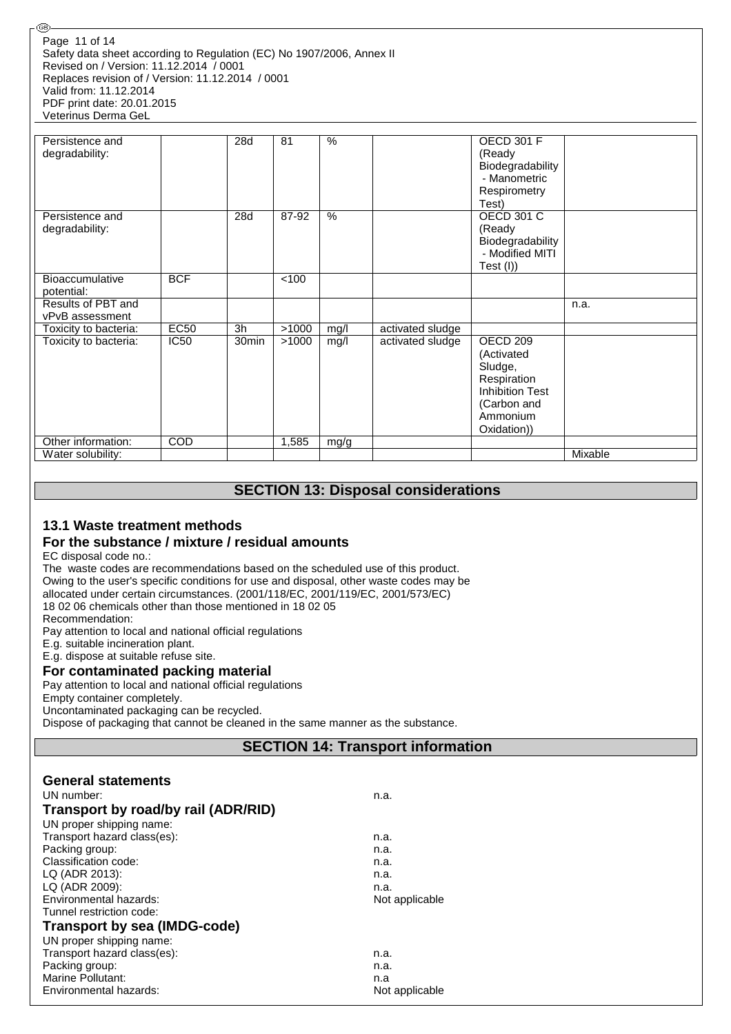Safety data sheet according to Regulation (EC) No 1907/2006, Annex II Revised on / Version: 11.12.2014 / 0001 Replaces revision of / Version: 11.12.2014 / 0001 Valid from: 11.12.2014 PDF print date: 20.01.2015 Veterinus Derma GeL Page 11 of 14

| Persistence and<br>degradability:     |             | 28d               | 81    | $\%$ |                  | <b>OECD 301 F</b><br>(Ready<br>Biodegradability<br>- Manometric<br>Respirometry<br>Test)                             |         |
|---------------------------------------|-------------|-------------------|-------|------|------------------|----------------------------------------------------------------------------------------------------------------------|---------|
| Persistence and<br>degradability:     |             | 28d               | 87-92 | $\%$ |                  | <b>OECD 301 C</b><br>(Ready<br>Biodegradability<br>- Modified MITI<br>Test (I))                                      |         |
| <b>Bioaccumulative</b><br>potential:  | <b>BCF</b>  |                   | 100   |      |                  |                                                                                                                      |         |
| Results of PBT and<br>vPvB assessment |             |                   |       |      |                  |                                                                                                                      | n.a.    |
| Toxicity to bacteria:                 | <b>EC50</b> | 3h                | >1000 | mg/l | activated sludge |                                                                                                                      |         |
| Toxicity to bacteria:                 | IC50        | 30 <sub>min</sub> | >1000 | mg/l | activated sludge | OECD 209<br>(Activated<br>Sludge,<br>Respiration<br><b>Inhibition Test</b><br>(Carbon and<br>Ammonium<br>Oxidation)) |         |
| Other information:                    | <b>COD</b>  |                   | 1,585 | mg/g |                  |                                                                                                                      |         |
| Water solubility:                     |             |                   |       |      |                  |                                                                                                                      | Mixable |

## **SECTION 13: Disposal considerations**

#### **13.1 Waste treatment methods**

#### **For the substance / mixture / residual amounts**

EC disposal code no.:

@

The waste codes are recommendations based on the scheduled use of this product. Owing to the user's specific conditions for use and disposal, other waste codes may be allocated under certain circumstances. (2001/118/EC, 2001/119/EC, 2001/573/EC) 18 02 06 chemicals other than those mentioned in 18 02 05 Recommendation:

Pay attention to local and national official regulations

E.g. suitable incineration plant.

E.g. dispose at suitable refuse site.

#### **For contaminated packing material**

Pay attention to local and national official regulations

Empty container completely.

Uncontaminated packaging can be recycled.

Dispose of packaging that cannot be cleaned in the same manner as the substance.

## **SECTION 14: Transport information**

| <b>General statements</b>           |                |
|-------------------------------------|----------------|
| UN number:                          | n.a.           |
| Transport by road/by rail (ADR/RID) |                |
| UN proper shipping name:            |                |
| Transport hazard class(es):         | n.a.           |
| Packing group:                      | n.a.           |
| Classification code:                | n.a.           |
| LQ (ADR 2013):                      | n.a.           |
| LQ (ADR 2009):                      | n.a.           |
| Environmental hazards:              | Not applicable |
| Tunnel restriction code:            |                |
| <b>Transport by sea (IMDG-code)</b> |                |
| UN proper shipping name:            |                |
| Transport hazard class(es):         | n.a.           |
| Packing group:                      | n.a.           |
| Marine Pollutant:                   | n.a            |
| Environmental hazards:              | Not applicable |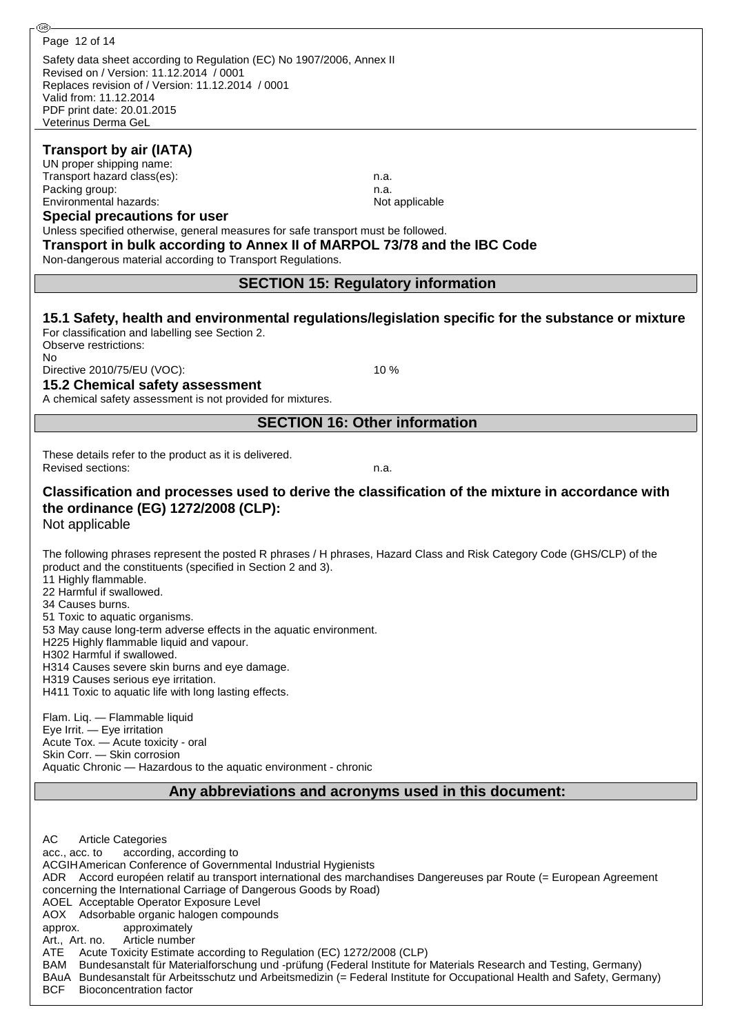| Page 12 of 14                                                                                                                                                                            |                                                                                                                  |
|------------------------------------------------------------------------------------------------------------------------------------------------------------------------------------------|------------------------------------------------------------------------------------------------------------------|
| Safety data sheet according to Regulation (EC) No 1907/2006, Annex II                                                                                                                    |                                                                                                                  |
| Revised on / Version: 11.12.2014 / 0001<br>Replaces revision of / Version: 11.12.2014 / 0001                                                                                             |                                                                                                                  |
| Valid from: 11.12.2014                                                                                                                                                                   |                                                                                                                  |
| PDF print date: 20.01.2015<br>Veterinus Derma GeL                                                                                                                                        |                                                                                                                  |
|                                                                                                                                                                                          |                                                                                                                  |
| <b>Transport by air (IATA)</b>                                                                                                                                                           |                                                                                                                  |
| UN proper shipping name:<br>Transport hazard class(es):                                                                                                                                  | n.a.                                                                                                             |
| Packing group:                                                                                                                                                                           | n.a.                                                                                                             |
| Environmental hazards:                                                                                                                                                                   | Not applicable                                                                                                   |
| <b>Special precautions for user</b><br>Unless specified otherwise, general measures for safe transport must be followed.                                                                 |                                                                                                                  |
| Transport in bulk according to Annex II of MARPOL 73/78 and the IBC Code                                                                                                                 |                                                                                                                  |
| Non-dangerous material according to Transport Regulations.                                                                                                                               |                                                                                                                  |
|                                                                                                                                                                                          | <b>SECTION 15: Regulatory information</b>                                                                        |
|                                                                                                                                                                                          |                                                                                                                  |
|                                                                                                                                                                                          | 15.1 Safety, health and environmental regulations/legislation specific for the substance or mixture              |
| For classification and labelling see Section 2.<br>Observe restrictions:                                                                                                                 |                                                                                                                  |
| No                                                                                                                                                                                       |                                                                                                                  |
| Directive 2010/75/EU (VOC):<br>15.2 Chemical safety assessment                                                                                                                           | 10 %                                                                                                             |
| A chemical safety assessment is not provided for mixtures.                                                                                                                               |                                                                                                                  |
|                                                                                                                                                                                          | <b>SECTION 16: Other information</b>                                                                             |
|                                                                                                                                                                                          |                                                                                                                  |
| These details refer to the product as it is delivered.                                                                                                                                   |                                                                                                                  |
| <b>Revised sections:</b>                                                                                                                                                                 | n.a.                                                                                                             |
| Classification and processes used to derive the classification of the mixture in accordance with                                                                                         |                                                                                                                  |
| the ordinance (EG) 1272/2008 (CLP):                                                                                                                                                      |                                                                                                                  |
| Not applicable                                                                                                                                                                           |                                                                                                                  |
| The following phrases represent the posted R phrases / H phrases, Hazard Class and Risk Category Code (GHS/CLP) of the                                                                   |                                                                                                                  |
| product and the constituents (specified in Section 2 and 3).                                                                                                                             |                                                                                                                  |
| 11 Highly flammable.<br>22 Harmful if swallowed.                                                                                                                                         |                                                                                                                  |
| 34 Causes burns.                                                                                                                                                                         |                                                                                                                  |
| 51 Toxic to aquatic organisms.<br>53 May cause long-term adverse effects in the aquatic environment.                                                                                     |                                                                                                                  |
| H225 Highly flammable liquid and vapour.                                                                                                                                                 |                                                                                                                  |
| H302 Harmful if swallowed.<br>H314 Causes severe skin burns and eye damage.                                                                                                              |                                                                                                                  |
| H319 Causes serious eye irritation.                                                                                                                                                      |                                                                                                                  |
| H411 Toxic to aquatic life with long lasting effects.                                                                                                                                    |                                                                                                                  |
| Flam. Liq. - Flammable liquid                                                                                                                                                            |                                                                                                                  |
| Eye Irrit. - Eye irritation<br>Acute Tox. - Acute toxicity - oral                                                                                                                        |                                                                                                                  |
| Skin Corr. - Skin corrosion                                                                                                                                                              |                                                                                                                  |
| Aquatic Chronic - Hazardous to the aquatic environment - chronic                                                                                                                         |                                                                                                                  |
|                                                                                                                                                                                          | Any abbreviations and acronyms used in this document:                                                            |
|                                                                                                                                                                                          |                                                                                                                  |
|                                                                                                                                                                                          |                                                                                                                  |
| AC<br><b>Article Categories</b><br>according, according to<br>acc., acc. to                                                                                                              |                                                                                                                  |
| ACGIH American Conference of Governmental Industrial Hygienists                                                                                                                          |                                                                                                                  |
| ADR Accord européen relatif au transport international des marchandises Dangereuses par Route (= European Agreement<br>concerning the International Carriage of Dangerous Goods by Road) |                                                                                                                  |
| AOEL Acceptable Operator Exposure Level                                                                                                                                                  |                                                                                                                  |
| AOX Adsorbable organic halogen compounds<br>approx.<br>approximately                                                                                                                     |                                                                                                                  |
| Article number<br>Art., Art. no.                                                                                                                                                         |                                                                                                                  |
| Acute Toxicity Estimate according to Regulation (EC) 1272/2008 (CLP)<br>ATE                                                                                                              |                                                                                                                  |
| BAM<br>BAuA Bundesanstalt für Arbeitsschutz und Arbeitsmedizin (= Federal Institute for Occupational Health and Safety, Germany)                                                         | Bundesanstalt für Materialforschung und -prüfung (Federal Institute for Materials Research and Testing, Germany) |

BCF Bioconcentration factor

-®-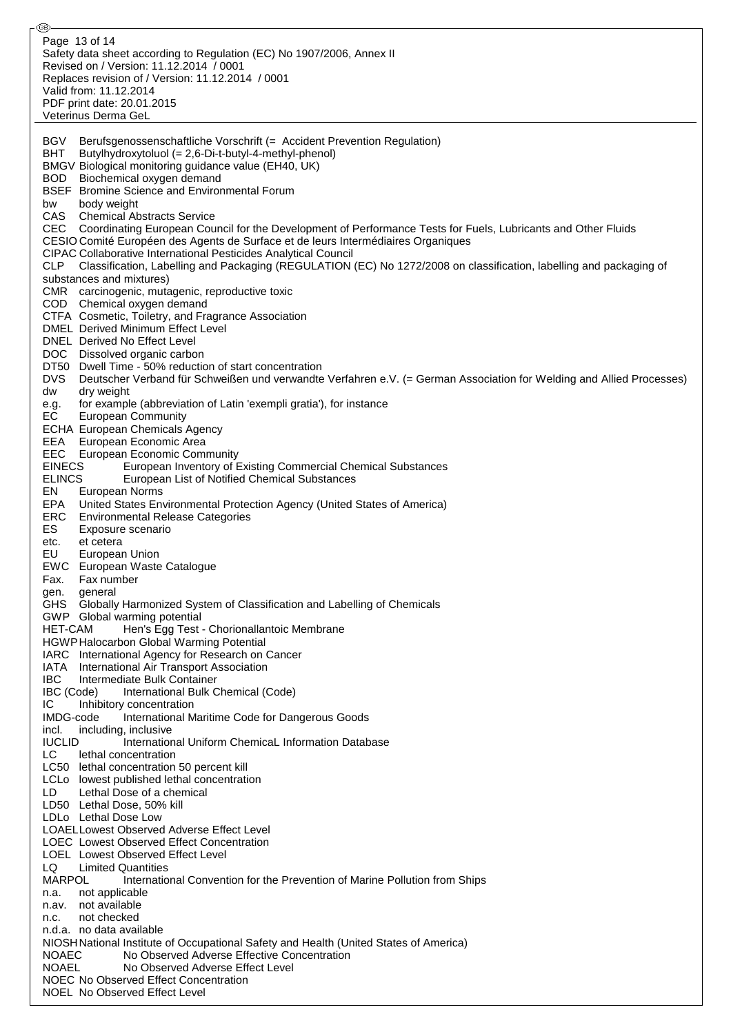Safety data sheet according to Regulation (EC) No 1907/2006, Annex II Revised on / Version: 11.12.2014 / 0001 Replaces revision of / Version: 11.12.2014 / 0001 Valid from: 11.12.2014 PDF print date: 20.01.2015 Veterinus Derma GeL BGV Berufsgenossenschaftliche Vorschrift (= Accident Prevention Regulation) BHT Butylhydroxytoluol (= 2,6-Di-t-butyl-4-methyl-phenol) BMGV Biological monitoring guidance value (EH40, UK) BOD Biochemical oxygen demand BSEF Bromine Science and Environmental Forum bw body weight CAS Chemical Abstracts Service CEC Coordinating European Council for the Development of Performance Tests for Fuels, Lubricants and Other Fluids CESIO Comité Européen des Agents de Surface et de leurs Intermédiaires Organiques CIPAC Collaborative International Pesticides Analytical Council CLP Classification, Labelling and Packaging (REGULATION (EC) No 1272/2008 on classification, labelling and packaging of substances and mixtures) CMR carcinogenic, mutagenic, reproductive toxic COD Chemical oxygen demand CTFA Cosmetic, Toiletry, and Fragrance Association DMEL Derived Minimum Effect Level DNEL Derived No Effect Level DOC Dissolved organic carbon DT50 Dwell Time - 50% reduction of start concentration DVS Deutscher Verband für Schweißen und verwandte Verfahren e.V. (= German Association for Welding and Allied Processes) dw dry weight e.g. for example (abbreviation of Latin 'exempli gratia'), for instance EC European Community ECHA European Chemicals Agency EEA European Economic Area EEC European Economic Community<br>EINECS European Inventory of I European Inventory of Existing Commercial Chemical Substances ELINCS European List of Notified Chemical Substances EN European Norms EPA United States Environmental Protection Agency (United States of America) **Environmental Release Categories** ES Exposure scenario etc. et cetera EU European Union EWC European Waste Catalogue Fax. Fax number gen. general GHS Globally Harmonized System of Classification and Labelling of Chemicals GWP Global warming potential HET-CAM Hen's Egg Test - Chorionallantoic Membrane HGWPHalocarbon Global Warming Potential IARC International Agency for Research on Cancer IATA International Air Transport Association IBC Intermediate Bulk Container IBC (Code) International Bulk Chemical (Code) IC Inhibitory concentration IMDG-code International Maritime Code for Dangerous Goods incl. including, inclusive IUCLID International Uniform ChemicaL Information Database LC lethal concentration LC50 lethal concentration 50 percent kill LCLo lowest published lethal concentration LD Lethal Dose of a chemical LD50 Lethal Dose, 50% kill LDLo Lethal Dose Low LOAELLowest Observed Adverse Effect Level LOEC Lowest Observed Effect Concentration LOEL Lowest Observed Effect Level LQ Limited Quantities<br>MARPOL Internatio International Convention for the Prevention of Marine Pollution from Ships n.a. not applicable n.av. not available n.c. not checked n.d.a. no data available NIOSHNational Institute of Occupational Safety and Health (United States of America) NOAEC No Observed Adverse Effective Concentration NOAEL No Observed Adverse Effect Level NOEC No Observed Effect Concentration NOEL No Observed Effect Level Page 13 of 14